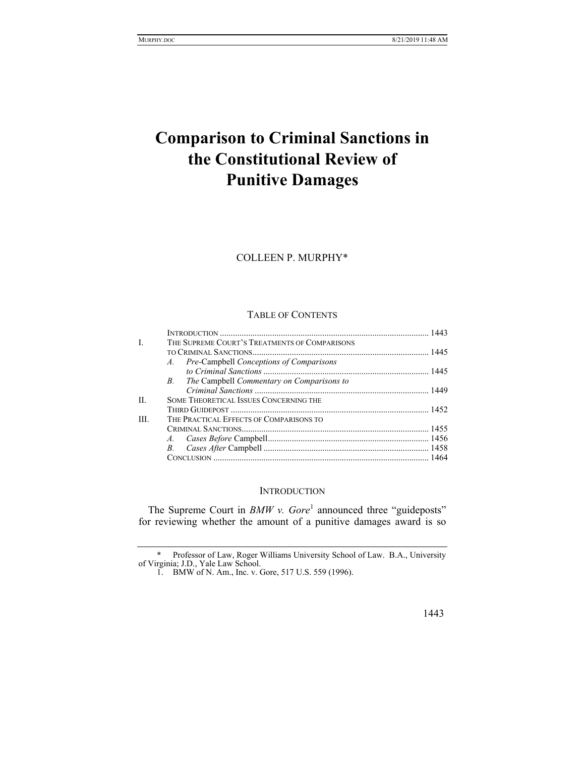# **Comparison to Criminal Sanctions in the Constitutional Review of Punitive Damages**

COLLEEN P. MURPHY\*

# TABLE OF CONTENTS

| L    | THE SUPREME COURT'S TREATMENTS OF COMPARISONS   |  |
|------|-------------------------------------------------|--|
|      |                                                 |  |
|      | A. Pre-Campbell Conceptions of Comparisons      |  |
|      |                                                 |  |
|      | The Campbell Commentary on Comparisons to<br>B. |  |
|      |                                                 |  |
| H.   | <b>SOME THEORETICAL ISSUES CONCERNING THE</b>   |  |
|      |                                                 |  |
| III. | THE PRACTICAL EFFECTS OF COMPARISONS TO         |  |
|      |                                                 |  |
|      |                                                 |  |
|      | $B_{\cdot}$                                     |  |
|      |                                                 |  |
|      |                                                 |  |

#### **INTRODUCTION**

The Supreme Court in *BMW v. Gore*<sup>1</sup> announced three "guideposts" for reviewing whether the amount of a punitive damages award is so

 <sup>\*</sup> Professor of Law, Roger Williams University School of Law. B.A., University of Virginia; J.D., Yale Law School.

 <sup>1.</sup> BMW of N. Am., Inc. v. Gore, 517 U.S. 559 (1996).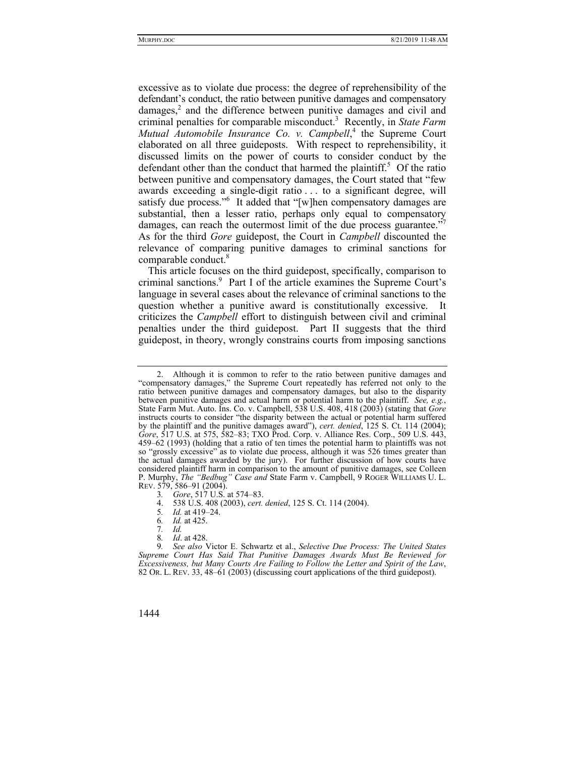excessive as to violate due process: the degree of reprehensibility of the defendant's conduct, the ratio between punitive damages and compensatory damages,<sup>2</sup> and the difference between punitive damages and civil and criminal penalties for comparable misconduct.3 Recently, in *State Farm*  Mutual Automobile Insurance Co. v. Campbell,<sup>4</sup> the Supreme Court elaborated on all three guideposts. With respect to reprehensibility, it discussed limits on the power of courts to consider conduct by the defendant other than the conduct that harmed the plaintiff.<sup>5</sup> Of the ratio between punitive and compensatory damages, the Court stated that "few awards exceeding a single-digit ratio . . . to a significant degree, will satisfy due process."<sup>6</sup> It added that "[w]hen compensatory damages are substantial, then a lesser ratio, perhaps only equal to compensatory damages, can reach the outermost limit of the due process guarantee."<sup>7</sup> As for the third *Gore* guidepost, the Court in *Campbell* discounted the relevance of comparing punitive damages to criminal sanctions for comparable conduct.<sup>8</sup>

This article focuses on the third guidepost, specifically, comparison to criminal sanctions.<sup>9</sup> Part I of the article examines the Supreme Court's language in several cases about the relevance of criminal sanctions to the question whether a punitive award is constitutionally excessive. It criticizes the *Campbell* effort to distinguish between civil and criminal penalties under the third guidepost. Part II suggests that the third guidepost, in theory, wrongly constrains courts from imposing sanctions

6*. Id.* at 425.

7*. Id.*

8*. Id*. at 428.

 <sup>2.</sup> Although it is common to refer to the ratio between punitive damages and "compensatory damages," the Supreme Court repeatedly has referred not only to the ratio between punitive damages and compensatory damages, but also to the disparity between punitive damages and actual harm or potential harm to the plaintiff. *See, e.g.*, State Farm Mut. Auto. Ins. Co. v. Campbell, 538 U.S. 408, 418 (2003) (stating that *Gore* instructs courts to consider "the disparity between the actual or potential harm suffered by the plaintiff and the punitive damages award"), *cert. denied*, 125 S. Ct. 114 (2004); *Gore*, 517 U.S. at 575, 582–83; TXO Prod. Corp. v. Alliance Res. Corp., 509 U.S. 443, 459–62 (1993) (holding that a ratio of ten times the potential harm to plaintiffs was not so "grossly excessive" as to violate due process, although it was 526 times greater than the actual damages awarded by the jury). For further discussion of how courts have considered plaintiff harm in comparison to the amount of punitive damages, see Colleen P. Murphy, *The "Bedbug" Case and* State Farm v. Campbell, 9 ROGER WILLIAMS U. L. REV. 579, 586–91 (2004).

<sup>3</sup>*. Gore*, 517 U.S. at 574–83.

 <sup>4. 538</sup> U.S. 408 (2003), *cert. denied*, 125 S. Ct. 114 (2004).

<sup>5</sup>*. Id.* at 419–24.

<sup>9</sup>*. See also* Victor E. Schwartz et al., *Selective Due Process: The United States Supreme Court Has Said That Punitive Damages Awards Must Be Reviewed for Excessiveness, but Many Courts Are Failing to Follow the Letter and Spirit of the Law*, 82 OR. L. REV. 33, 48–61 (2003) (discussing court applications of the third guidepost).

<sup>1444</sup>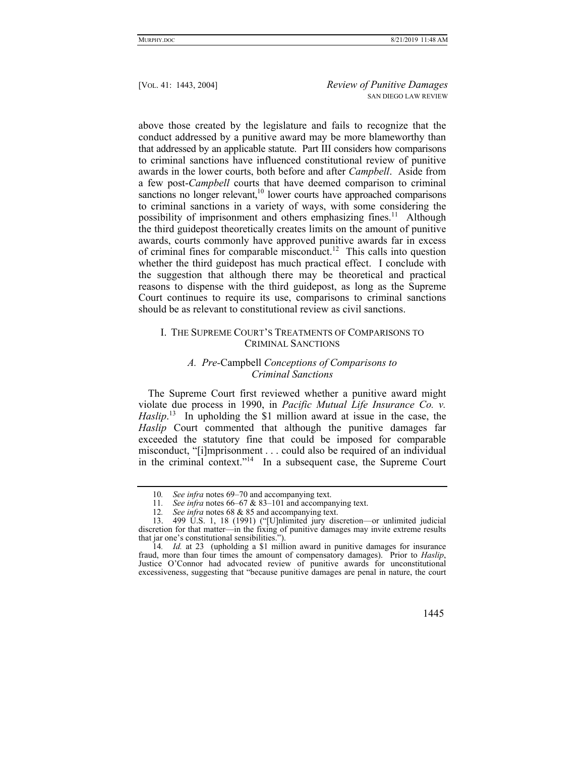above those created by the legislature and fails to recognize that the conduct addressed by a punitive award may be more blameworthy than that addressed by an applicable statute. Part III considers how comparisons to criminal sanctions have influenced constitutional review of punitive awards in the lower courts, both before and after *Campbell*. Aside from a few post-*Campbell* courts that have deemed comparison to criminal sanctions no longer relevant, $10$  lower courts have approached comparisons to criminal sanctions in a variety of ways, with some considering the possibility of imprisonment and others emphasizing fines.<sup>11</sup> Although the third guidepost theoretically creates limits on the amount of punitive awards, courts commonly have approved punitive awards far in excess of criminal fines for comparable misconduct.<sup>12</sup> This calls into question whether the third guidepost has much practical effect. I conclude with the suggestion that although there may be theoretical and practical reasons to dispense with the third guidepost, as long as the Supreme Court continues to require its use, comparisons to criminal sanctions should be as relevant to constitutional review as civil sanctions.

# I. THE SUPREME COURT'S TREATMENTS OF COMPARISONS TO CRIMINAL SANCTIONS

## *A. Pre-*Campbell *Conceptions of Comparisons to Criminal Sanctions*

The Supreme Court first reviewed whether a punitive award might violate due process in 1990, in *Pacific Mutual Life Insurance Co. v.*  Haslip.<sup>13</sup> In upholding the \$1 million award at issue in the case, the Haslip Court commented that although the punitive damages far exceeded the statutory fine that could be imposed for comparable misconduct, "[i]mprisonment . . . could also be required of an individual in the criminal context."<sup>14</sup> In a subsequent case, the Supreme Court

<sup>14</sup>*. Id.* at 23 (upholding a \$1 million award in punitive damages for insurance fraud, more than four times the amount of compensatory damages). Prior to *Haslip*, Justice O'Connor had advocated review of punitive awards for unconstitutional excessiveness, suggesting that "because punitive damages are penal in nature, the court



<sup>10</sup>*. See infra* notes 69–70 and accompanying text.

<sup>11</sup>*. See infra* notes 66–67 & 83–101 and accompanying text.

<sup>12</sup>*. See infra* notes 68 & 85 and accompanying text.

 <sup>13. 499</sup> U.S. 1, 18 (1991) ("[U]nlimited jury discretion—or unlimited judicial discretion for that matter—in the fixing of punitive damages may invite extreme results that jar one's constitutional sensibilities.").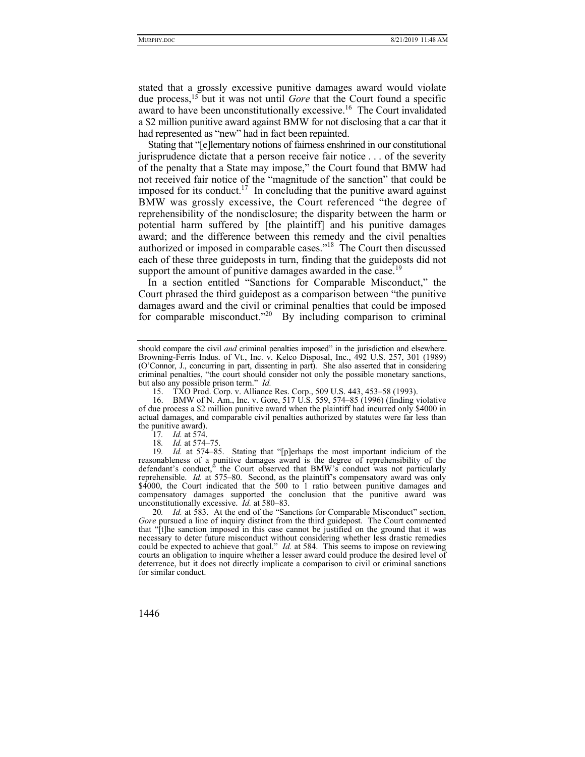stated that a grossly excessive punitive damages award would violate due process,15 but it was not until *Gore* that the Court found a specific award to have been unconstitutionally excessive.<sup>16</sup> The Court invalidated a \$2 million punitive award against BMW for not disclosing that a car that it had represented as "new" had in fact been repainted.

Stating that "[e]lementary notions of fairness enshrined in our constitutional jurisprudence dictate that a person receive fair notice . . . of the severity of the penalty that a State may impose," the Court found that BMW had not received fair notice of the "magnitude of the sanction" that could be imposed for its conduct.<sup>17</sup> In concluding that the punitive award against BMW was grossly excessive, the Court referenced "the degree of reprehensibility of the nondisclosure; the disparity between the harm or potential harm suffered by [the plaintiff] and his punitive damages award; and the difference between this remedy and the civil penalties authorized or imposed in comparable cases."18 The Court then discussed each of these three guideposts in turn, finding that the guideposts did not support the amount of punitive damages awarded in the case.<sup>19</sup>

In a section entitled "Sanctions for Comparable Misconduct," the Court phrased the third guidepost as a comparison between "the punitive damages award and the civil or criminal penalties that could be imposed for comparable misconduct.<sup>220</sup> By including comparison to criminal

should compare the civil *and* criminal penalties imposed" in the jurisdiction and elsewhere. Browning-Ferris Indus. of Vt., Inc. v. Kelco Disposal, Inc., 492 U.S. 257, 301 (1989) (O'Connor, J., concurring in part, dissenting in part). She also asserted that in considering criminal penalties, "the court should consider not only the possible monetary sanctions, but also any possible prison term." *Id.*

 <sup>15.</sup> TXO Prod. Corp. v. Alliance Res. Corp., 509 U.S. 443, 453–58 (1993).

 <sup>16.</sup> BMW of N. Am., Inc. v. Gore, 517 U.S. 559, 574–85 (1996) (finding violative of due process a \$2 million punitive award when the plaintiff had incurred only \$4000 in actual damages, and comparable civil penalties authorized by statutes were far less than the punitive award).

<sup>17</sup>*. Id.* at 574.

<sup>18</sup>*. Id.* at 574–75.

<sup>19</sup>*. Id.* at 574–85. Stating that "[p]erhaps the most important indicium of the reasonableness of a punitive damages award is the degree of reprehensibility of the defendant's conduct," the Court observed that BMW's conduct was not particularly reprehensible. *Id.* at 575–80. Second, as the plaintiff's compensatory award was only \$4000, the Court indicated that the 500 to 1 ratio between punitive damages and compensatory damages supported the conclusion that the punitive award was unconstitutionally excessive. *Id.* at 580–83.

<sup>20.</sup> Id. at 583. At the end of the "Sanctions for Comparable Misconduct" section, *Gore* pursued a line of inquiry distinct from the third guidepost. The Court commented that "[t]he sanction imposed in this case cannot be justified on the ground that it was necessary to deter future misconduct without considering whether less drastic remedies could be expected to achieve that goal." *Id.* at 584. This seems to impose on reviewing courts an obligation to inquire whether a lesser award could produce the desired level of deterrence, but it does not directly implicate a comparison to civil or criminal sanctions for similar conduct.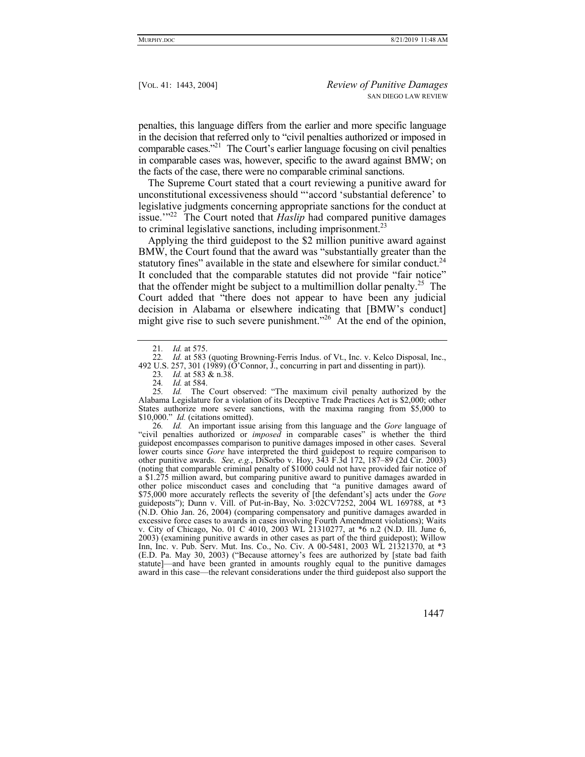penalties, this language differs from the earlier and more specific language in the decision that referred only to "civil penalties authorized or imposed in comparable cases."21 The Court's earlier language focusing on civil penalties in comparable cases was, however, specific to the award against BMW; on the facts of the case, there were no comparable criminal sanctions.

The Supreme Court stated that a court reviewing a punitive award for unconstitutional excessiveness should "'accord 'substantial deference' to legislative judgments concerning appropriate sanctions for the conduct at issue.<sup>'"22</sup> The Court noted that *Haslip* had compared punitive damages to criminal legislative sanctions, including imprisonment.<sup>23</sup>

Applying the third guidepost to the \$2 million punitive award against BMW, the Court found that the award was "substantially greater than the statutory fines" available in the state and elsewhere for similar conduct.<sup>24</sup> It concluded that the comparable statutes did not provide "fair notice" that the offender might be subject to a multimillion dollar penalty.<sup>25</sup> The Court added that "there does not appear to have been any judicial decision in Alabama or elsewhere indicating that [BMW's conduct] might give rise to such severe punishment."<sup>26</sup> At the end of the opinion,

26*. Id.* An important issue arising from this language and the *Gore* language of "civil penalties authorized or *imposed* in comparable cases" is whether the third guidepost encompasses comparison to punitive damages imposed in other cases. Several lower courts since *Gore* have interpreted the third guidepost to require comparison to other punitive awards. *See, e.g.*, DiSorbo v. Hoy, 343 F.3d 172, 187–89 (2d Cir. 2003) (noting that comparable criminal penalty of \$1000 could not have provided fair notice of a \$1.275 million award, but comparing punitive award to punitive damages awarded in other police misconduct cases and concluding that "a punitive damages award of \$75,000 more accurately reflects the severity of [the defendant's] acts under the *Gore* guideposts"); Dunn v. Vill. of Put-in-Bay, No. 3:02CV7252, 2004 WL 169788, at \*3 (N.D. Ohio Jan. 26, 2004) (comparing compensatory and punitive damages awarded in excessive force cases to awards in cases involving Fourth Amendment violations); Waits v. City of Chicago, No. 01 C 4010, 2003 WL 21310277, at \*6 n.2 (N.D. Ill. June 6, 2003) (examining punitive awards in other cases as part of the third guidepost); Willow Inn, Inc. v. Pub. Serv. Mut. Ins. Co., No. Civ. A 00-5481, 2003 WL 21321370, at \*3 (E.D. Pa. May 30, 2003) ("Because attorney's fees are authorized by [state bad faith statute]—and have been granted in amounts roughly equal to the punitive damages award in this case—the relevant considerations under the third guidepost also support the

<sup>21</sup>*. Id.* at 575.

<sup>22</sup>*. Id.* at 583 (quoting Browning-Ferris Indus. of Vt., Inc. v. Kelco Disposal, Inc., 492 U.S. 257, 301 (1989) ( $\vec{O}$ 'Connor, J., concurring in part and dissenting in part)).

<sup>23</sup>*. Id.* at 583 & n.38.

<sup>24</sup>*. Id.* at 584.

<sup>25</sup>*. Id.* The Court observed: "The maximum civil penalty authorized by the Alabama Legislature for a violation of its Deceptive Trade Practices Act is \$2,000; other States authorize more severe sanctions, with the maxima ranging from \$5,000 to \$10,000." *Id.* (citations omitted).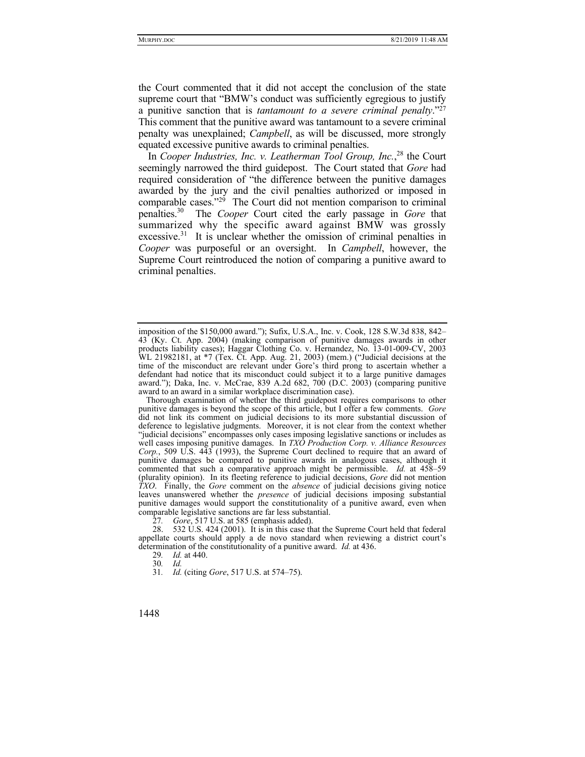the Court commented that it did not accept the conclusion of the state supreme court that "BMW's conduct was sufficiently egregious to justify a punitive sanction that is *tantamount to a severe criminal penalty*."27 This comment that the punitive award was tantamount to a severe criminal penalty was unexplained; *Campbell*, as will be discussed, more strongly equated excessive punitive awards to criminal penalties.

In *Cooper Industries, Inc. v. Leatherman Tool Group, Inc.*, 28 the Court seemingly narrowed the third guidepost. The Court stated that *Gore* had required consideration of "the difference between the punitive damages awarded by the jury and the civil penalties authorized or imposed in comparable cases."<sup>29</sup> The Court did not mention comparison to criminal penalties.30 The *Cooper* Court cited the early passage in *Gore* that summarized why the specific award against BMW was grossly excessive.<sup>31</sup> It is unclear whether the omission of criminal penalties in *Cooper* was purposeful or an oversight. In *Campbell*, however, the Supreme Court reintroduced the notion of comparing a punitive award to criminal penalties.

31*. Id.* (citing *Gore*, 517 U.S. at 574–75).

imposition of the \$150,000 award."); Sufix, U.S.A., Inc. v. Cook, 128 S.W.3d 838, 842– 43 (Ky. Ct. App. 2004) (making comparison of punitive damages awards in other products liability cases); Haggar Clothing Co. v. Hernandez, No. 13-01-009-CV, 2003 WL 21982181, at \*7 (Tex. Ct. App. Aug. 21, 2003) (mem.) ("Judicial decisions at the time of the misconduct are relevant under Gore's third prong to ascertain whether a defendant had notice that its misconduct could subject it to a large punitive damages award."); Daka, Inc. v. McCrae, 839 A.2d 682, 700 (D.C. 2003) (comparing punitive award to an award in a similar workplace discrimination case).

Thorough examination of whether the third guidepost requires comparisons to other punitive damages is beyond the scope of this article, but I offer a few comments. *Gore* did not link its comment on judicial decisions to its more substantial discussion of deference to legislative judgments. Moreover, it is not clear from the context whether "judicial decisions" encompasses only cases imposing legislative sanctions or includes as well cases imposing punitive damages. In *TXO Production Corp. v. Alliance Resources Corp.*, 509 U.S. 443 (1993), the Supreme Court declined to require that an award of punitive damages be compared to punitive awards in analogous cases, although it commented that such a comparative approach might be permissible. *Id.* at 458–59 (plurality opinion). In its fleeting reference to judicial decisions, *Gore* did not mention *TXO*. Finally, the *Gore* comment on the *absence* of judicial decisions giving notice leaves unanswered whether the *presence* of judicial decisions imposing substantial punitive damages would support the constitutionality of a punitive award, even when comparable legislative sanctions are far less substantial.

<sup>27</sup>*. Gore*, 517 U.S. at 585 (emphasis added).

 <sup>28. 532</sup> U.S. 424 (2001). It is in this case that the Supreme Court held that federal appellate courts should apply a de novo standard when reviewing a district court's determination of the constitutionality of a punitive award. *Id.* at 436.

<sup>29</sup>*. Id.* at 440.

<sup>30</sup>*. Id.*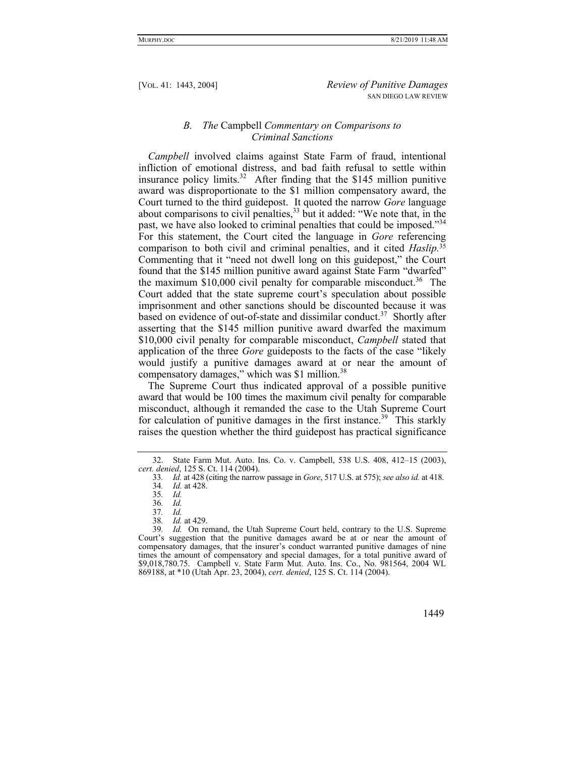# *B. The* Campbell *Commentary on Comparisons to Criminal Sanctions*

*Campbell* involved claims against State Farm of fraud, intentional infliction of emotional distress, and bad faith refusal to settle within insurance policy limits.<sup>32</sup> After finding that the \$145 million punitive award was disproportionate to the \$1 million compensatory award, the Court turned to the third guidepost. It quoted the narrow *Gore* language about comparisons to civil penalties,  $33$  but it added: "We note that, in the past, we have also looked to criminal penalties that could be imposed."<sup>34</sup> For this statement, the Court cited the language in *Gore* referencing comparison to both civil and criminal penalties, and it cited *Haslip.*<sup>35</sup> Commenting that it "need not dwell long on this guidepost," the Court found that the \$145 million punitive award against State Farm "dwarfed" the maximum  $$10,000$  civil penalty for comparable misconduct.<sup>36</sup> The Court added that the state supreme court's speculation about possible imprisonment and other sanctions should be discounted because it was based on evidence of out-of-state and dissimilar conduct.<sup>37</sup> Shortly after asserting that the \$145 million punitive award dwarfed the maximum \$10,000 civil penalty for comparable misconduct, *Campbell* stated that application of the three *Gore* guideposts to the facts of the case "likely would justify a punitive damages award at or near the amount of compensatory damages," which was \$1 million.<sup>38</sup>

The Supreme Court thus indicated approval of a possible punitive award that would be 100 times the maximum civil penalty for comparable misconduct, although it remanded the case to the Utah Supreme Court for calculation of punitive damages in the first instance.<sup>39</sup> This starkly raises the question whether the third guidepost has practical significance

 <sup>32.</sup> State Farm Mut. Auto. Ins. Co. v. Campbell, 538 U.S. 408, 412–15 (2003), *cert. denied*, 125 S. Ct. 114 (2004).

<sup>33</sup>*. Id.* at 428 (citing the narrow passage in *Gore*, 517 U.S. at 575); *see also id.* at 418. 34*. Id.* at 428.

<sup>35</sup>*. Id.*

<sup>36</sup>*. Id.*

<sup>37</sup>*. Id.*

<sup>38</sup>*. Id.* at 429.

Id. On remand, the Utah Supreme Court held, contrary to the U.S. Supreme Court's suggestion that the punitive damages award be at or near the amount of compensatory damages, that the insurer's conduct warranted punitive damages of nine times the amount of compensatory and special damages, for a total punitive award of \$9,018,780.75. Campbell v. State Farm Mut. Auto. Ins. Co., No. 981564, 2004 WL 869188, at \*10 (Utah Apr. 23, 2004), *cert. denied*, 125 S. Ct. 114 (2004).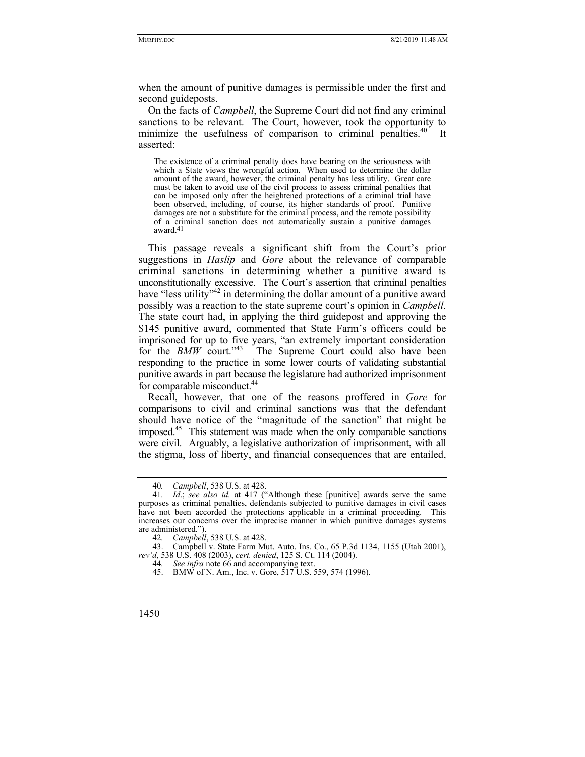when the amount of punitive damages is permissible under the first and second guideposts.

On the facts of *Campbell*, the Supreme Court did not find any criminal sanctions to be relevant. The Court, however, took the opportunity to minimize the usefulness of comparison to criminal penalties.<sup>40</sup> It asserted:

The existence of a criminal penalty does have bearing on the seriousness with which a State views the wrongful action. When used to determine the dollar amount of the award, however, the criminal penalty has less utility. Great care must be taken to avoid use of the civil process to assess criminal penalties that can be imposed only after the heightened protections of a criminal trial have been observed, including, of course, its higher standards of proof. Punitive damages are not a substitute for the criminal process, and the remote possibility of a criminal sanction does not automatically sustain a punitive damages award.41

This passage reveals a significant shift from the Court's prior suggestions in *Haslip* and *Gore* about the relevance of comparable criminal sanctions in determining whether a punitive award is unconstitutionally excessive. The Court's assertion that criminal penalties have "less utility"<sup>42</sup> in determining the dollar amount of a punitive award possibly was a reaction to the state supreme court's opinion in *Campbell*. The state court had, in applying the third guidepost and approving the \$145 punitive award, commented that State Farm's officers could be imprisoned for up to five years, "an extremely important consideration for the *BMW* court."<sup>43</sup> The Supreme Court could also have been responding to the practice in some lower courts of validating substantial punitive awards in part because the legislature had authorized imprisonment for comparable misconduct.<sup>44</sup>

Recall, however, that one of the reasons proffered in *Gore* for comparisons to civil and criminal sanctions was that the defendant should have notice of the "magnitude of the sanction" that might be imposed.45 This statement was made when the only comparable sanctions were civil. Arguably, a legislative authorization of imprisonment, with all the stigma, loss of liberty, and financial consequences that are entailed,

<sup>40</sup>*. Campbell*, 538 U.S. at 428.

<sup>41</sup>*. Id*.; *see also id.* at 417 ("Although these [punitive] awards serve the same purposes as criminal penalties, defendants subjected to punitive damages in civil cases have not been accorded the protections applicable in a criminal proceeding. This increases our concerns over the imprecise manner in which punitive damages systems are administered.").

<sup>42</sup>*. Campbell*, 538 U.S. at 428.

 <sup>43.</sup> Campbell v. State Farm Mut. Auto. Ins. Co., 65 P.3d 1134, 1155 (Utah 2001), *rev'd*, 538 U.S. 408 (2003), *cert. denied*, 125 S. Ct. 114 (2004).

<sup>44</sup>*. See infra* note 66 and accompanying text.

 <sup>45.</sup> BMW of N. Am., Inc. v. Gore, 517 U.S. 559, 574 (1996).

<sup>1450</sup>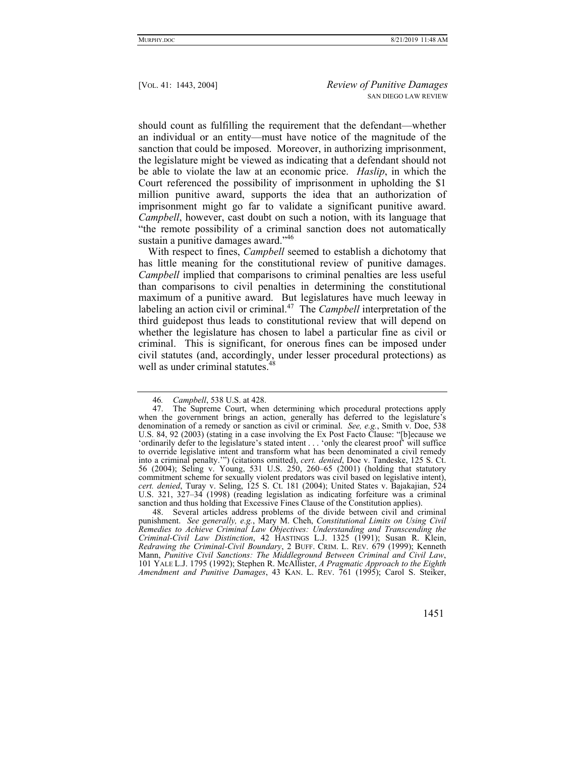should count as fulfilling the requirement that the defendant—whether an individual or an entity—must have notice of the magnitude of the sanction that could be imposed. Moreover, in authorizing imprisonment, the legislature might be viewed as indicating that a defendant should not be able to violate the law at an economic price. *Haslip*, in which the Court referenced the possibility of imprisonment in upholding the \$1 million punitive award, supports the idea that an authorization of imprisonment might go far to validate a significant punitive award. *Campbell*, however, cast doubt on such a notion, with its language that "the remote possibility of a criminal sanction does not automatically sustain a punitive damages award."<sup>46</sup>

With respect to fines, *Campbell* seemed to establish a dichotomy that has little meaning for the constitutional review of punitive damages. *Campbell* implied that comparisons to criminal penalties are less useful than comparisons to civil penalties in determining the constitutional maximum of a punitive award. But legislatures have much leeway in labeling an action civil or criminal.<sup>47</sup> The *Campbell* interpretation of the third guidepost thus leads to constitutional review that will depend on whether the legislature has chosen to label a particular fine as civil or criminal. This is significant, for onerous fines can be imposed under civil statutes (and, accordingly, under lesser procedural protections) as well as under criminal statutes.<sup>48</sup>

 48. Several articles address problems of the divide between civil and criminal punishment. *See generally, e.g.*, Mary M. Cheh, *Constitutional Limits on Using Civil Remedies to Achieve Criminal Law Objectives: Understanding and Transcending the Criminal-Civil Law Distinction*, 42 HASTINGS L.J. 1325 (1991); Susan R. Klein, *Redrawing the Criminal-Civil Boundary*, 2 BUFF. CRIM. L. REV. 679 (1999); Kenneth Mann, *Punitive Civil Sanctions: The Middleground Between Criminal and Civil Law*, 101 YALE L.J. 1795 (1992); Stephen R. McAllister, *A Pragmatic Approach to the Eighth Amendment and Punitive Damages*, 43 KAN. L. REV. 761 (1995); Carol S. Steiker,

<sup>46</sup>*. Campbell*, 538 U.S. at 428.

 <sup>47.</sup> The Supreme Court, when determining which procedural protections apply when the government brings an action, generally has deferred to the legislature's denomination of a remedy or sanction as civil or criminal. *See, e.g.*, Smith v. Doe, 538 U.S. 84, 92 (2003) (stating in a case involving the Ex Post Facto Clause: "[b]ecause we 'ordinarily defer to the legislature's stated intent . . . 'only the clearest proof' will suffice to override legislative intent and transform what has been denominated a civil remedy into a criminal penalty.'") (citations omitted), *cert. denied*, Doe v. Tandeske, 125 S. Ct. 56 (2004); Seling v. Young, 531 U.S. 250, 260–65 (2001) (holding that statutory commitment scheme for sexually violent predators was civil based on legislative intent), *cert. denied*, Turay v. Seling, 125 S. Ct. 181 (2004); United States v. Bajakajian, 524 U.S. 321, 327–34 (1998) (reading legislation as indicating forfeiture was a criminal sanction and thus holding that Excessive Fines Clause of the Constitution applies).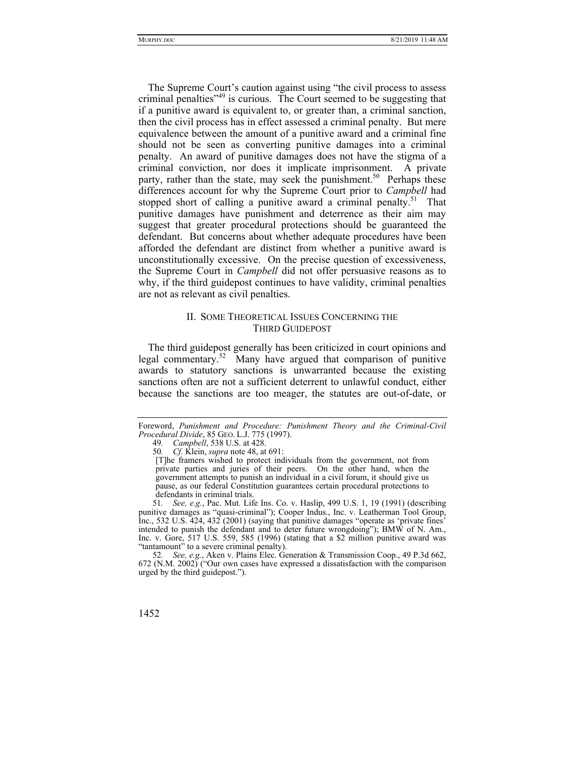The Supreme Court's caution against using "the civil process to assess criminal penalties<sup>"49</sup> is curious. The Court seemed to be suggesting that if a punitive award is equivalent to, or greater than, a criminal sanction, then the civil process has in effect assessed a criminal penalty. But mere equivalence between the amount of a punitive award and a criminal fine should not be seen as converting punitive damages into a criminal penalty. An award of punitive damages does not have the stigma of a criminal conviction, nor does it implicate imprisonment. A private party, rather than the state, may seek the punishment.<sup>50</sup> Perhaps these differences account for why the Supreme Court prior to *Campbell* had stopped short of calling a punitive award a criminal penalty.<sup>51</sup> That punitive damages have punishment and deterrence as their aim may suggest that greater procedural protections should be guaranteed the defendant. But concerns about whether adequate procedures have been afforded the defendant are distinct from whether a punitive award is unconstitutionally excessive. On the precise question of excessiveness, the Supreme Court in *Campbell* did not offer persuasive reasons as to why, if the third guidepost continues to have validity, criminal penalties are not as relevant as civil penalties.

# II. SOME THEORETICAL ISSUES CONCERNING THE THIRD GUIDEPOST

The third guidepost generally has been criticized in court opinions and legal commentary.<sup>52</sup> Many have argued that comparison of punitive awards to statutory sanctions is unwarranted because the existing sanctions often are not a sufficient deterrent to unlawful conduct, either because the sanctions are too meager, the statutes are out-of-date, or

51*. See, e.g.*, Pac. Mut. Life Ins. Co. v. Haslip, 499 U.S. 1, 19 (1991) (describing punitive damages as "quasi-criminal"); Cooper Indus., Inc. v. Leatherman Tool Group, Inc., 532 U.S. 424, 432 (2001) (saying that punitive damages "operate as 'private fines' intended to punish the defendant and to deter future wrongdoing"); BMW of N. Am., Inc. v. Gore, 517 U.S. 559, 585 (1996) (stating that a \$2 million punitive award was "tantamount" to a severe criminal penalty).

52*. See, e.g.*, Aken v. Plains Elec. Generation & Transmission Coop., 49 P.3d 662, 672 (N.M. 2002) ("Our own cases have expressed a dissatisfaction with the comparison urged by the third guidepost.").

Foreword, *Punishment and Procedure: Punishment Theory and the Criminal-Civil Procedural Divide*, 85 GEO. L.J. 775 (1997).

<sup>49</sup>*. Campbell*, 538 U.S. at 428.

<sup>50</sup>*. Cf.* Klein, *supra* note 48, at 691:

<sup>[</sup>T]he framers wished to protect individuals from the government, not from private parties and juries of their peers. On the other hand, when the government attempts to punish an individual in a civil forum, it should give us pause, as our federal Constitution guarantees certain procedural protections to defendants in criminal trials.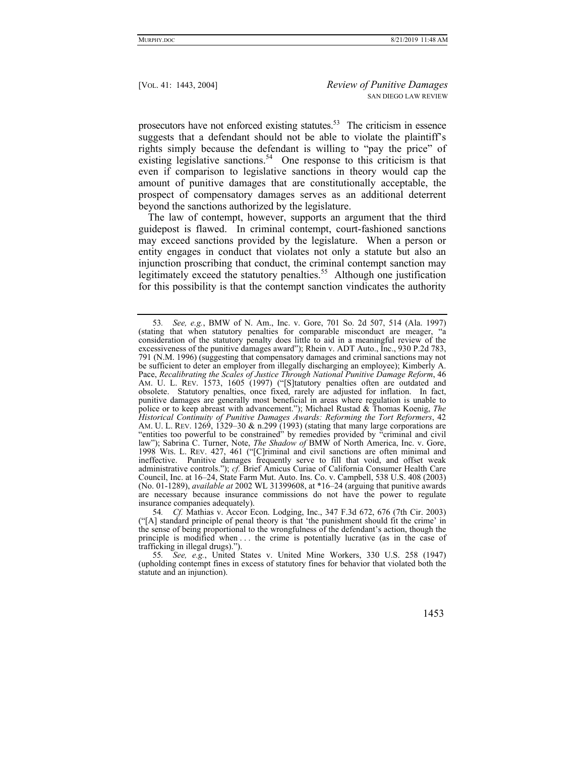prosecutors have not enforced existing statutes.<sup>53</sup> The criticism in essence suggests that a defendant should not be able to violate the plaintiff's rights simply because the defendant is willing to "pay the price" of existing legislative sanctions.<sup>54</sup> One response to this criticism is that even if comparison to legislative sanctions in theory would cap the amount of punitive damages that are constitutionally acceptable, the prospect of compensatory damages serves as an additional deterrent beyond the sanctions authorized by the legislature.

The law of contempt, however, supports an argument that the third guidepost is flawed. In criminal contempt, court-fashioned sanctions may exceed sanctions provided by the legislature. When a person or entity engages in conduct that violates not only a statute but also an injunction proscribing that conduct, the criminal contempt sanction may legitimately exceed the statutory penalties.<sup>55</sup> Although one justification for this possibility is that the contempt sanction vindicates the authority

<sup>53</sup>*. See, e.g.*, BMW of N. Am., Inc. v. Gore, 701 So. 2d 507, 514 (Ala. 1997) (stating that when statutory penalties for comparable misconduct are meager, "a consideration of the statutory penalty does little to aid in a meaningful review of the excessiveness of the punitive damages award"); Rhein v. ADT Auto., Inc., 930 P.2d 783, 791 (N.M. 1996) (suggesting that compensatory damages and criminal sanctions may not be sufficient to deter an employer from illegally discharging an employee); Kimberly A. Pace, *Recalibrating the Scales of Justice Through National Punitive Damage Reform*, 46 AM. U. L. REV. 1573, 1605 (1997) ("[S]tatutory penalties often are outdated and obsolete. Statutory penalties, once fixed, rarely are adjusted for inflation. In fact, punitive damages are generally most beneficial in areas where regulation is unable to police or to keep abreast with advancement."); Michael Rustad & Thomas Koenig, *The Historical Continuity of Punitive Damages Awards: Reforming the Tort Reformers*, 42 AM. U. L. REV. 1269, 1329–30 & n.299 (1993) (stating that many large corporations are "entities too powerful to be constrained" by remedies provided by "criminal and civil law"); Sabrina C. Turner, Note, *The Shadow of* BMW of North America, Inc. v. Gore, 1998 WIS. L. REV. 427, 461 ("[C]riminal and civil sanctions are often minimal and ineffective. Punitive damages frequently serve to fill that void, and offset weak administrative controls."); *cf.* Brief Amicus Curiae of California Consumer Health Care Council, Inc. at 16–24, State Farm Mut. Auto. Ins. Co. v. Campbell, 538 U.S. 408 (2003) (No. 01-1289), *available at* 2002 WL 31399608, at \*16–24 (arguing that punitive awards are necessary because insurance commissions do not have the power to regulate insurance companies adequately).

<sup>54</sup>*. Cf.* Mathias v. Accor Econ. Lodging, Inc., 347 F.3d 672, 676 (7th Cir. 2003) ("[A] standard principle of penal theory is that 'the punishment should fit the crime' in the sense of being proportional to the wrongfulness of the defendant's action, though the principle is modified when . . . the crime is potentially lucrative (as in the case of trafficking in illegal drugs).").

<sup>55</sup>*. See, e.g.*, United States v. United Mine Workers, 330 U.S. 258 (1947) (upholding contempt fines in excess of statutory fines for behavior that violated both the statute and an injunction).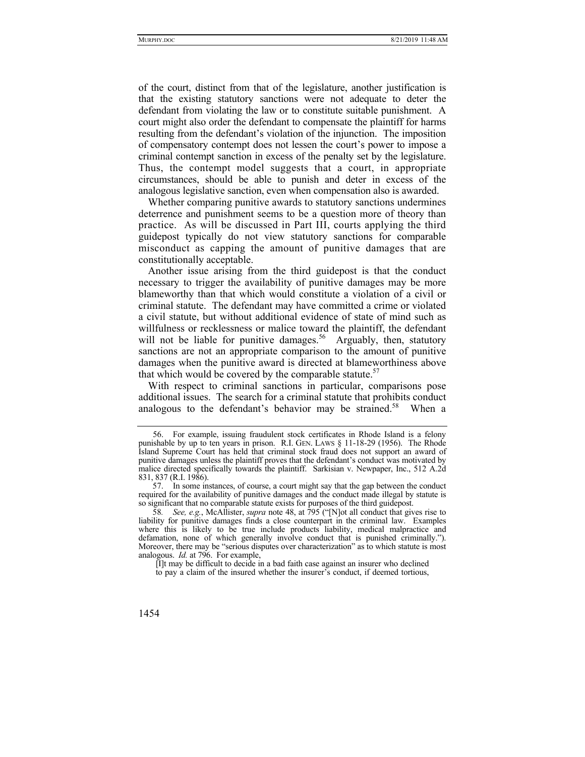of the court, distinct from that of the legislature, another justification is that the existing statutory sanctions were not adequate to deter the defendant from violating the law or to constitute suitable punishment. A court might also order the defendant to compensate the plaintiff for harms resulting from the defendant's violation of the injunction. The imposition of compensatory contempt does not lessen the court's power to impose a criminal contempt sanction in excess of the penalty set by the legislature. Thus, the contempt model suggests that a court, in appropriate circumstances, should be able to punish and deter in excess of the analogous legislative sanction, even when compensation also is awarded.

Whether comparing punitive awards to statutory sanctions undermines deterrence and punishment seems to be a question more of theory than practice. As will be discussed in Part III, courts applying the third guidepost typically do not view statutory sanctions for comparable misconduct as capping the amount of punitive damages that are constitutionally acceptable.

Another issue arising from the third guidepost is that the conduct necessary to trigger the availability of punitive damages may be more blameworthy than that which would constitute a violation of a civil or criminal statute. The defendant may have committed a crime or violated a civil statute, but without additional evidence of state of mind such as willfulness or recklessness or malice toward the plaintiff, the defendant will not be liable for punitive damages.<sup>56</sup> Arguably, then, statutory sanctions are not an appropriate comparison to the amount of punitive damages when the punitive award is directed at blameworthiness above that which would be covered by the comparable statute. $57$ 

With respect to criminal sanctions in particular, comparisons pose additional issues. The search for a criminal statute that prohibits conduct analogous to the defendant's behavior may be strained.<sup>58</sup> When a

[I]t may be difficult to decide in a bad faith case against an insurer who declined

to pay a claim of the insured whether the insurer's conduct, if deemed tortious,

 <sup>56.</sup> For example, issuing fraudulent stock certificates in Rhode Island is a felony punishable by up to ten years in prison. R.I. GEN. LAWS § 11-18-29 (1956). The Rhode Island Supreme Court has held that criminal stock fraud does not support an award of punitive damages unless the plaintiff proves that the defendant's conduct was motivated by malice directed specifically towards the plaintiff. Sarkisian v. Newpaper, Inc., 512 A.2d 831, 837 (R.I. 1986).

 <sup>57.</sup> In some instances, of course, a court might say that the gap between the conduct required for the availability of punitive damages and the conduct made illegal by statute is so significant that no comparable statute exists for purposes of the third guidepost.

<sup>58</sup>*. See, e.g.*, McAllister, *supra* note 48, at 795 ("[N]ot all conduct that gives rise to liability for punitive damages finds a close counterpart in the criminal law. Examples where this is likely to be true include products liability, medical malpractice and defamation, none of which generally involve conduct that is punished criminally."). Moreover, there may be "serious disputes over characterization" as to which statute is most analogous. *Id.* at 796. For example,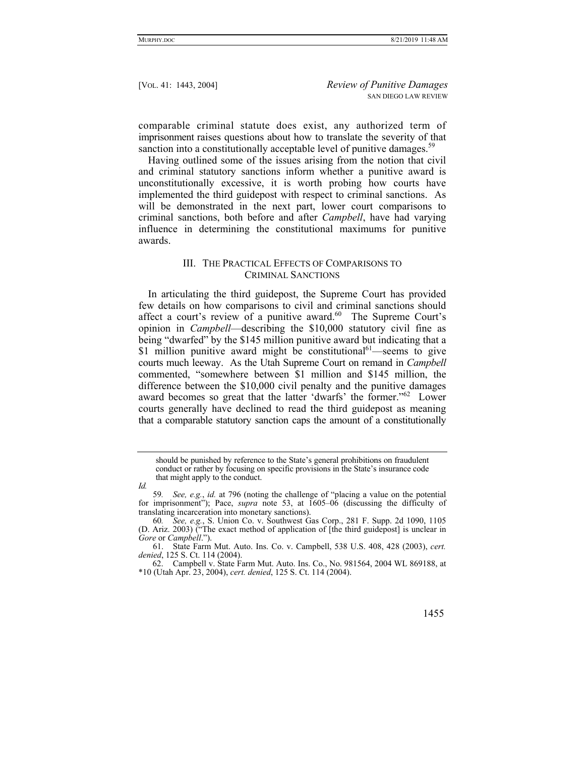comparable criminal statute does exist, any authorized term of imprisonment raises questions about how to translate the severity of that sanction into a constitutionally acceptable level of punitive damages.<sup>59</sup>

Having outlined some of the issues arising from the notion that civil and criminal statutory sanctions inform whether a punitive award is unconstitutionally excessive, it is worth probing how courts have implemented the third guidepost with respect to criminal sanctions. As will be demonstrated in the next part, lower court comparisons to criminal sanctions, both before and after *Campbell*, have had varying influence in determining the constitutional maximums for punitive awards.

# III. THE PRACTICAL EFFECTS OF COMPARISONS TO CRIMINAL SANCTIONS

In articulating the third guidepost, the Supreme Court has provided few details on how comparisons to civil and criminal sanctions should affect a court's review of a punitive award. $60$  The Supreme Court's opinion in *Campbell*—describing the \$10,000 statutory civil fine as being "dwarfed" by the \$145 million punitive award but indicating that a \$1 million punitive award might be constitutional<sup>61</sup>—seems to give courts much leeway. As the Utah Supreme Court on remand in *Campbell* commented, "somewhere between \$1 million and \$145 million, the difference between the \$10,000 civil penalty and the punitive damages award becomes so great that the latter 'dwarfs' the former."<sup>62</sup> Lower courts generally have declined to read the third guidepost as meaning that a comparable statutory sanction caps the amount of a constitutionally

 <sup>62.</sup> Campbell v. State Farm Mut. Auto. Ins. Co., No. 981564, 2004 WL 869188, at \*10 (Utah Apr. 23, 2004), *cert. denied*, 125 S. Ct. 114 (2004).



should be punished by reference to the State's general prohibitions on fraudulent conduct or rather by focusing on specific provisions in the State's insurance code that might apply to the conduct.

*Id.*

<sup>59</sup>*. See, e.g.*, *id.* at 796 (noting the challenge of "placing a value on the potential for imprisonment"); Pace, *supra* note 53, at 1605–06 (discussing the difficulty of translating incarceration into monetary sanctions).

<sup>60</sup>*. See, e.g.*, S. Union Co. v. Southwest Gas Corp., 281 F. Supp. 2d 1090, 1105 (D. Ariz. 2003) ("The exact method of application of [the third guidepost] is unclear in *Gore* or *Campbell*.").

 <sup>61.</sup> State Farm Mut. Auto. Ins. Co. v. Campbell, 538 U.S. 408, 428 (2003), *cert. denied*, 125 S. Ct. 114 (2004).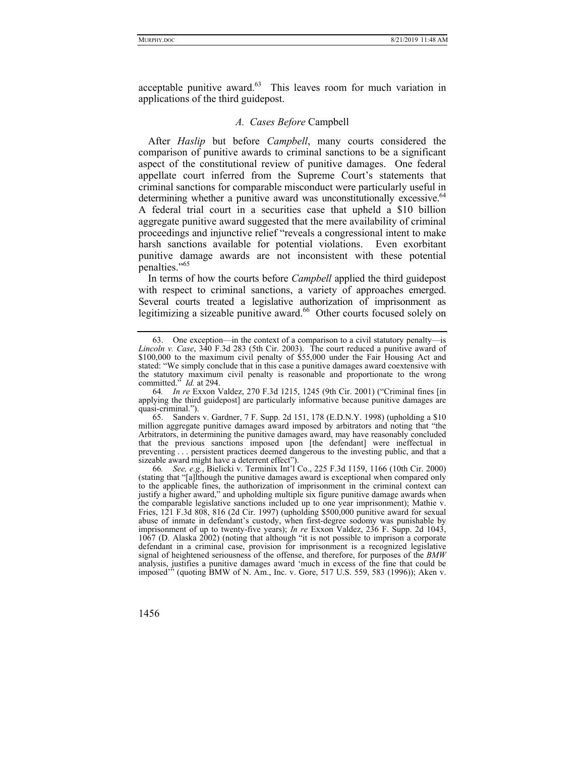acceptable punitive award.<sup>63</sup> This leaves room for much variation in applications of the third guidepost.

#### *A. Cases Before* Campbell

After *Haslip* but before *Campbell*, many courts considered the comparison of punitive awards to criminal sanctions to be a significant aspect of the constitutional review of punitive damages. One federal appellate court inferred from the Supreme Court's statements that criminal sanctions for comparable misconduct were particularly useful in determining whether a punitive award was unconstitutionally excessive.<sup>64</sup> A federal trial court in a securities case that upheld a \$10 billion aggregate punitive award suggested that the mere availability of criminal proceedings and injunctive relief "reveals a congressional intent to make harsh sanctions available for potential violations. Even exorbitant punitive damage awards are not inconsistent with these potential penalties."<sup>65</sup>

In terms of how the courts before *Campbell* applied the third guidepost with respect to criminal sanctions, a variety of approaches emerged. Several courts treated a legislative authorization of imprisonment as legitimizing a sizeable punitive award.<sup>66</sup> Other courts focused solely on

66*. See, e.g.*, Bielicki v. Terminix Int'l Co., 225 F.3d 1159, 1166 (10th Cir. 2000) (stating that "[a]lthough the punitive damages award is exceptional when compared only to the applicable fines, the authorization of imprisonment in the criminal context can justify a higher award," and upholding multiple six figure punitive damage awards when the comparable legislative sanctions included up to one year imprisonment); Mathie v. Fries, 121 F.3d 808, 816 (2d Cir. 1997) (upholding \$500,000 punitive award for sexual abuse of inmate in defendant's custody, when first-degree sodomy was punishable by imprisonment of up to twenty-five years); *In re* Exxon Valdez, 236 F. Supp. 2d 1043, 1067 (D. Alaska 2002) (noting that although "it is not possible to imprison a corporate defendant in a criminal case, provision for imprisonment is a recognized legislative signal of heightened seriousness of the offense, and therefore, for purposes of the *BMW* analysis, justifies a punitive damages award 'much in excess of the fine that could be imposed'" (quoting BMW of N. Am., Inc. v. Gore, 517 U.S. 559, 583 (1996)); Aken v.

 <sup>63.</sup> One exception—in the context of a comparison to a civil statutory penalty—is *Lincoln v. Case*, 340 F.3d 283 (5th Cir. 2003). The court reduced a punitive award of \$100,000 to the maximum civil penalty of \$55,000 under the Fair Housing Act and stated: "We simply conclude that in this case a punitive damages award coextensive with the statutory maximum civil penalty is reasonable and proportionate to the wrong committed." *Id.* at 294.

<sup>64</sup>*. In re* Exxon Valdez, 270 F.3d 1215, 1245 (9th Cir. 2001) ("Criminal fines [in applying the third guidepost] are particularly informative because punitive damages are quasi-criminal.").

 <sup>65.</sup> Sanders v. Gardner, 7 F. Supp. 2d 151, 178 (E.D.N.Y. 1998) (upholding a \$10 million aggregate punitive damages award imposed by arbitrators and noting that "the Arbitrators, in determining the punitive damages award, may have reasonably concluded that the previous sanctions imposed upon [the defendant] were ineffectual in preventing . . . persistent practices deemed dangerous to the investing public, and that a sizeable award might have a deterrent effect").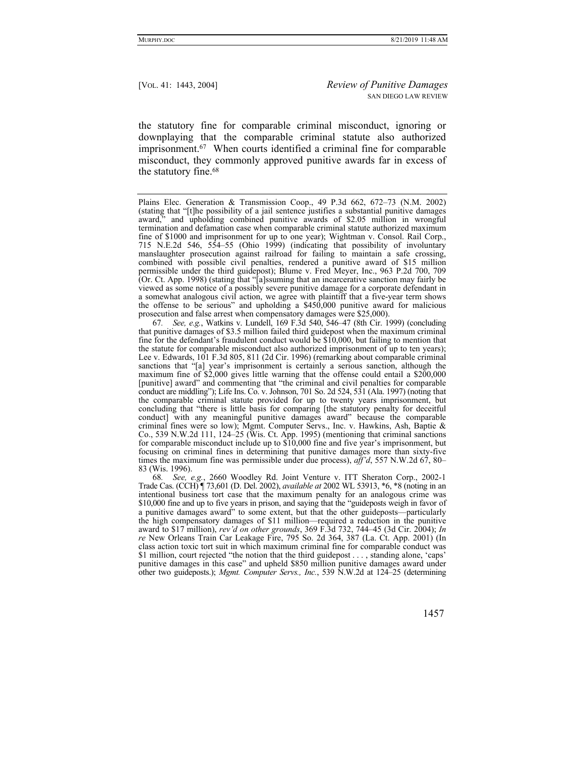the statutory fine for comparable criminal misconduct, ignoring or downplaying that the comparable criminal statute also authorized imprisonment.67 When courts identified a criminal fine for comparable misconduct, they commonly approved punitive awards far in excess of the statutory fine.68

67*. See, e.g.*, Watkins v. Lundell, 169 F.3d 540, 546–47 (8th Cir. 1999) (concluding that punitive damages of \$3.5 million failed third guidepost when the maximum criminal fine for the defendant's fraudulent conduct would be  $$10,000$ , but failing to mention that the statute for comparable misconduct also authorized imprisonment of up to ten years); Lee v. Edwards, 101 F.3d 805, 811 (2d Cir. 1996) (remarking about comparable criminal sanctions that "[a] year's imprisonment is certainly a serious sanction, although the maximum fine of \$2,000 gives little warning that the offense could entail a \$200,000 [punitive] award" and commenting that "the criminal and civil penalties for comparable conduct are middling"); Life Ins. Co. v. Johnson, 701 So. 2d 524, 531 (Ala. 1997) (noting that the comparable criminal statute provided for up to twenty years imprisonment, but concluding that "there is little basis for comparing [the statutory penalty for deceitful conduct] with any meaningful punitive damages award" because the comparable criminal fines were so low); Mgmt. Computer Servs., Inc. v. Hawkins, Ash, Baptie & Co., 539 N.W.2d 111, 124–25 (Wis. Ct. App. 1995) (mentioning that criminal sanctions for comparable misconduct include up to \$10,000 fine and five year's imprisonment, but focusing on criminal fines in determining that punitive damages more than sixty-five times the maximum fine was permissible under due process), *aff'd*, 557 N.W.2d 67, 80– 83 (Wis. 1996).

68*. See, e.g.*, 2660 Woodley Rd. Joint Venture v. ITT Sheraton Corp., 2002-1 Trade Cas. (CCH) ¶ 73,601 (D. Del. 2002), *available at* 2002 WL 53913, \*6, \*8 (noting in an intentional business tort case that the maximum penalty for an analogous crime was \$10,000 fine and up to five years in prison, and saying that the "guideposts weigh in favor of a punitive damages award" to some extent, but that the other guideposts—particularly the high compensatory damages of \$11 million—required a reduction in the punitive award to \$17 million), *rev'd on other grounds*, 369 F.3d 732, 744–45 (3d Cir. 2004); *In re* New Orleans Train Car Leakage Fire, 795 So. 2d 364, 387 (La. Ct. App. 2001) (In class action toxic tort suit in which maximum criminal fine for comparable conduct was \$1 million, court rejected "the notion that the third guidepost . . . , standing alone, 'caps' punitive damages in this case" and upheld \$850 million punitive damages award under other two guideposts.); *Mgmt. Computer Servs., Inc.*, 539 N.W.2d at 124–25 (determining

Plains Elec. Generation & Transmission Coop., 49 P.3d 662, 672–73 (N.M. 2002) (stating that "[t]he possibility of a jail sentence justifies a substantial punitive damages award," and upholding combined punitive awards of \$2.05 million in wrongful termination and defamation case when comparable criminal statute authorized maximum fine of \$1000 and imprisonment for up to one year); Wightman v. Consol. Rail Corp., 715 N.E.2d 546, 554–55 (Ohio 1999) (indicating that possibility of involuntary manslaughter prosecution against railroad for failing to maintain a safe crossing, combined with possible civil penalties, rendered a punitive award of \$15 million permissible under the third guidepost); Blume v. Fred Meyer, Inc., 963 P.2d 700, 709 (Or. Ct. App. 1998) (stating that "[a]ssuming that an incarcerative sanction may fairly be viewed as some notice of a possibly severe punitive damage for a corporate defendant in a somewhat analogous civil action, we agree with plaintiff that a five-year term shows the offense to be serious" and upholding a \$450,000 punitive award for malicious prosecution and false arrest when compensatory damages were \$25,000).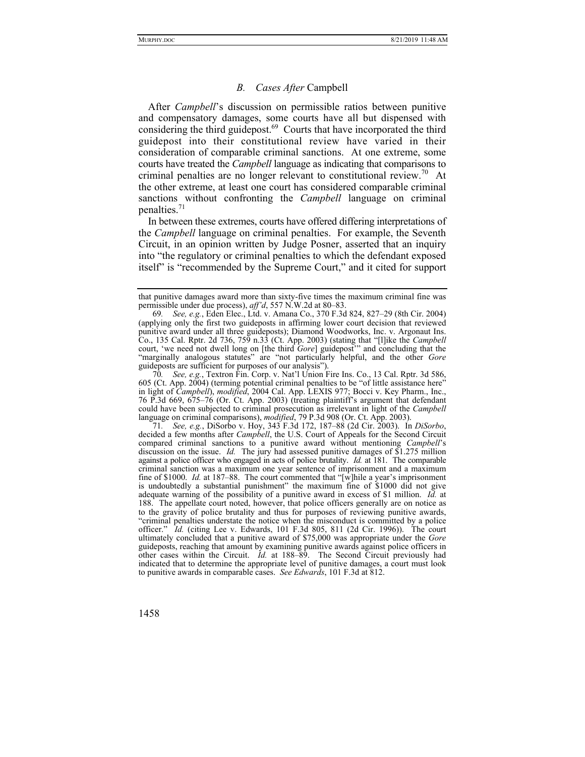## *B. Cases After* Campbell

After *Campbell*'s discussion on permissible ratios between punitive and compensatory damages, some courts have all but dispensed with considering the third guidepost.<sup>69</sup> Courts that have incorporated the third guidepost into their constitutional review have varied in their consideration of comparable criminal sanctions. At one extreme, some courts have treated the *Campbell* language as indicating that comparisons to criminal penalties are no longer relevant to constitutional review.<sup>70</sup> At the other extreme, at least one court has considered comparable criminal sanctions without confronting the *Campbell* language on criminal penalties.<sup>71</sup>

In between these extremes, courts have offered differing interpretations of the *Campbell* language on criminal penalties. For example, the Seventh Circuit, in an opinion written by Judge Posner, asserted that an inquiry into "the regulatory or criminal penalties to which the defendant exposed itself" is "recommended by the Supreme Court," and it cited for support

70*. See, e.g.*, Textron Fin. Corp. v. Nat'l Union Fire Ins. Co., 13 Cal. Rptr. 3d 586, 605 (Ct. App. 2004) (terming potential criminal penalties to be "of little assistance here" in light of *Campbell*), *modified*, 2004 Cal. App. LEXIS 977; Bocci v. Key Pharm., Inc., 76 P.3d 669, 675–76 (Or. Ct. App. 2003) (treating plaintiff's argument that defendant could have been subjected to criminal prosecution as irrelevant in light of the *Campbell*  language on criminal comparisons), *modified*, 79 P.3d 908 (Or. Ct. App. 2003).

71*. See, e.g.*, DiSorbo v. Hoy, 343 F.3d 172, 187–88 (2d Cir. 2003). In *DiSorbo*, decided a few months after *Campbell*, the U.S. Court of Appeals for the Second Circuit compared criminal sanctions to a punitive award without mentioning *Campbell*'s discussion on the issue. *Id.* The jury had assessed punitive damages of \$1.275 million against a police officer who engaged in acts of police brutality. *Id.* at 181. The comparable criminal sanction was a maximum one year sentence of imprisonment and a maximum fine of \$1000. *Id.* at 187–88. The court commented that "[w]hile a year's imprisonment is undoubtedly a substantial punishment" the maximum fine of \$1000 did not give adequate warning of the possibility of a punitive award in excess of \$1 million. *Id.* at 188.The appellate court noted, however, that police officers generally are on notice as to the gravity of police brutality and thus for purposes of reviewing punitive awards, "criminal penalties understate the notice when the misconduct is committed by a police officer." *Id.* (citing Lee v. Edwards, 101 F.3d 805, 811 (2d Cir. 1996)). The court ultimately concluded that a punitive award of \$75,000 was appropriate under the *Gore* guideposts, reaching that amount by examining punitive awards against police officers in other cases within the Circuit.  $\tilde{I}d$ . at 188–89. The Second Circuit previously had indicated that to determine the appropriate level of punitive damages, a court must look to punitive awards in comparable cases. *See Edwards*, 101 F.3d at 812.

that punitive damages award more than sixty-five times the maximum criminal fine was permissible under due process), *aff'd*, 557 N.W.2d at 80–83.

<sup>69</sup>*. See, e.g.*, Eden Elec., Ltd. v. Amana Co., 370 F.3d 824, 827–29 (8th Cir. 2004) (applying only the first two guideposts in affirming lower court decision that reviewed punitive award under all three guideposts); Diamond Woodworks, Inc. v. Argonaut Ins. Co., 135 Cal. Rptr. 2d 736, 759 n.33 (Ct. App. 2003) (stating that "[l]ike the *Campbell* court, 'we need not dwell long on [the third *Gore*] guidepost'" and concluding that the "marginally analogous statutes" are "not particularly helpful, and the other *Gore* guideposts are sufficient for purposes of our analysis").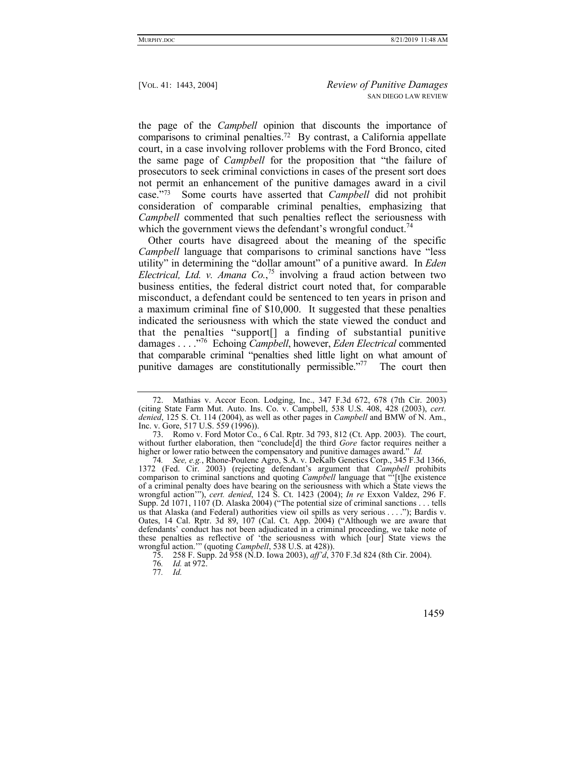the page of the *Campbell* opinion that discounts the importance of comparisons to criminal penalties.72 By contrast, a California appellate court, in a case involving rollover problems with the Ford Bronco, cited the same page of *Campbell* for the proposition that "the failure of prosecutors to seek criminal convictions in cases of the present sort does not permit an enhancement of the punitive damages award in a civil case."73 Some courts have asserted that *Campbell* did not prohibit consideration of comparable criminal penalties, emphasizing that *Campbell* commented that such penalties reflect the seriousness with which the government views the defendant's wrongful conduct.<sup>74</sup>

Other courts have disagreed about the meaning of the specific *Campbell* language that comparisons to criminal sanctions have "less utility" in determining the "dollar amount" of a punitive award. In *Eden Electrical, Ltd. v. Amana Co.*, 75 involving a fraud action between two business entities, the federal district court noted that, for comparable misconduct, a defendant could be sentenced to ten years in prison and a maximum criminal fine of \$10,000. It suggested that these penalties indicated the seriousness with which the state viewed the conduct and that the penalties "support[] a finding of substantial punitive damages . . . ."76 Echoing *Campbell*, however, *Eden Electrical* commented that comparable criminal "penalties shed little light on what amount of punitive damages are constitutionally permissible."77 The court then

 <sup>72.</sup> Mathias v. Accor Econ. Lodging, Inc., 347 F.3d 672, 678 (7th Cir. 2003) (citing State Farm Mut. Auto. Ins. Co. v. Campbell, 538 U.S. 408, 428 (2003), *cert. denied*, 125 S. Ct. 114 (2004), as well as other pages in *Campbell* and BMW of N. Am., Inc. v. Gore, 517 U.S. 559 (1996)).

<sup>73.</sup> Romo v. Ford Motor Co., 6 Cal. Rptr. 3d 793, 812 (Ct. App. 2003). The court, without further elaboration, then "conclude[d] the third *Gore* factor requires neither a higher or lower ratio between the compensatory and punitive damages award." *Id.*

<sup>74</sup>*. See, e.g.*, Rhone-Poulenc Agro, S.A. v. DeKalb Genetics Corp., 345 F.3d 1366, 1372 (Fed. Cir. 2003) (rejecting defendant's argument that *Campbell* prohibits comparison to criminal sanctions and quoting *Campbell* language that "'[t]he existence of a criminal penalty does have bearing on the seriousness with which a State views the wrongful action'"), *cert. denied*, 124 S. Ct. 1423 (2004); *In re* Exxon Valdez, 296 F. Supp. 2d 1071, 1107 (D. Alaska 2004) ("The potential size of criminal sanctions . . . tells us that Alaska (and Federal) authorities view oil spills as very serious . . . ."); Bardis v. Oates, 14 Cal. Rptr. 3d 89, 107 (Cal. Ct. App. 2004) ("Although we are aware that defendants' conduct has not been adjudicated in a criminal proceeding, we take note of these penalties as reflective of 'the seriousness with which [our] State views the wrongful action.'" (quoting *Campbell*, 538 U.S. at 428)).

 <sup>75. 258</sup> F. Supp. 2d 958 (N.D. Iowa 2003), *aff'd*, 370 F.3d 824 (8th Cir. 2004).

<sup>76</sup>*. Id.* at 972.

<sup>77</sup>*. Id.*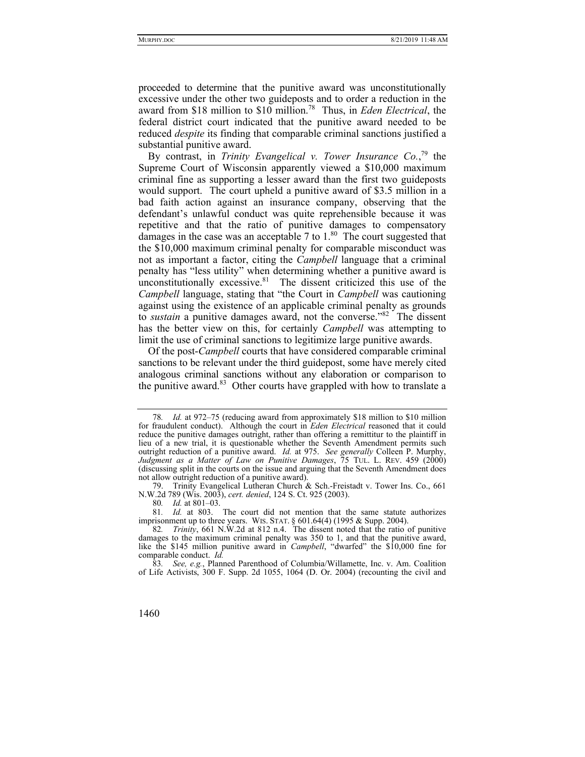proceeded to determine that the punitive award was unconstitutionally excessive under the other two guideposts and to order a reduction in the award from \$18 million to \$10 million.78 Thus, in *Eden Electrical*, the federal district court indicated that the punitive award needed to be reduced *despite* its finding that comparable criminal sanctions justified a substantial punitive award.

By contrast, in *Trinity Evangelical v. Tower Insurance Co.*<sup>79</sup> the Supreme Court of Wisconsin apparently viewed a \$10,000 maximum criminal fine as supporting a lesser award than the first two guideposts would support. The court upheld a punitive award of \$3.5 million in a bad faith action against an insurance company, observing that the defendant's unlawful conduct was quite reprehensible because it was repetitive and that the ratio of punitive damages to compensatory damages in the case was an acceptable 7 to  $1<sup>80</sup>$  The court suggested that the \$10,000 maximum criminal penalty for comparable misconduct was not as important a factor, citing the *Campbell* language that a criminal penalty has "less utility" when determining whether a punitive award is unconstitutionally excessive. $81$  The dissent criticized this use of the *Campbell* language, stating that "the Court in *Campbell* was cautioning against using the existence of an applicable criminal penalty as grounds to *sustain* a punitive damages award, not the converse."82 The dissent has the better view on this, for certainly *Campbell* was attempting to limit the use of criminal sanctions to legitimize large punitive awards.

Of the post-*Campbell* courts that have considered comparable criminal sanctions to be relevant under the third guidepost, some have merely cited analogous criminal sanctions without any elaboration or comparison to the punitive award. $83$  Other courts have grappled with how to translate a

<sup>83</sup>*. See, e.g.*, Planned Parenthood of Columbia/Willamette, Inc. v. Am. Coalition of Life Activists, 300 F. Supp. 2d 1055, 1064 (D. Or. 2004) (recounting the civil and



<sup>78</sup>*. Id.* at 972–75 (reducing award from approximately \$18 million to \$10 million for fraudulent conduct). Although the court in *Eden Electrical* reasoned that it could reduce the punitive damages outright, rather than offering a remittitur to the plaintiff in lieu of a new trial, it is questionable whether the Seventh Amendment permits such outright reduction of a punitive award. *Id.* at 975. *See generally* Colleen P. Murphy, *Judgment as a Matter of Law on Punitive Damages*, 75 TUL. L. REV. 459 (2000) (discussing split in the courts on the issue and arguing that the Seventh Amendment does not allow outright reduction of a punitive award).

 <sup>79.</sup> Trinity Evangelical Lutheran Church & Sch.-Freistadt v. Tower Ins. Co., 661 N.W.2d 789 (Wis. 2003), *cert. denied*, 124 S. Ct. 925 (2003).

<sup>80</sup>*. Id.* at 801–03.

<sup>81</sup>*. Id.* at 803. The court did not mention that the same statute authorizes imprisonment up to three years. WIS. STAT.  $\S 601.64(4)$  (1995 & Supp. 2004).

<sup>82</sup>*. Trinity*, 661 N.W.2d at 812 n.4. The dissent noted that the ratio of punitive damages to the maximum criminal penalty was 350 to 1, and that the punitive award, like the \$145 million punitive award in *Campbell*, "dwarfed" the \$10,000 fine for comparable conduct. *Id.*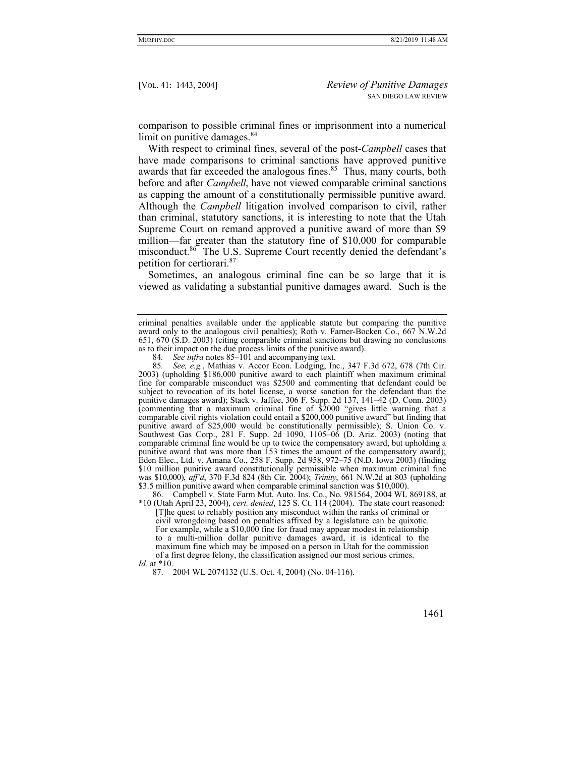comparison to possible criminal fines or imprisonment into a numerical limit on punitive damages. $84$ 

With respect to criminal fines, several of the post-*Campbell* cases that have made comparisons to criminal sanctions have approved punitive awards that far exceeded the analogous fines.<sup>85</sup> Thus, many courts, both before and after *Campbell*, have not viewed comparable criminal sanctions as capping the amount of a constitutionally permissible punitive award. Although the *Campbell* litigation involved comparison to civil, rather than criminal, statutory sanctions, it is interesting to note that the Utah Supreme Court on remand approved a punitive award of more than \$9 million—far greater than the statutory fine of \$10,000 for comparable misconduct.<sup>86</sup> The U.S. Supreme Court recently denied the defendant's petition for certiorari.<sup>87</sup>

Sometimes, an analogous criminal fine can be so large that it is viewed as validating a substantial punitive damages award. Such is the

criminal penalties available under the applicable statute but comparing the punitive award only to the analogous civil penalties); Roth v. Farner-Bocken Co., 667 N.W.2d 651, 670 (S.D. 2003) (citing comparable criminal sanctions but drawing no conclusions as to their impact on the due process limits of the punitive award).

<sup>84</sup>*. See infra* notes 85–101 and accompanying text.

<sup>85</sup>*. See, e.g.*, Mathias v. Accor Econ. Lodging, Inc., 347 F.3d 672, 678 (7th Cir. 2003) (upholding \$186,000 punitive award to each plaintiff when maximum criminal fine for comparable misconduct was \$2500 and commenting that defendant could be subject to revocation of its hotel license, a worse sanction for the defendant than the punitive damages award); Stack v. Jaffee, 306 F. Supp. 2d 137, 141–42 (D. Conn. 2003) (commenting that a maximum criminal fine of \$2000 "gives little warning that a comparable civil rights violation could entail a \$200,000 punitive award" but finding that punitive award of \$25,000 would be constitutionally permissible); S. Union Co. v. Southwest Gas Corp., 281 F. Supp. 2d 1090, 1105–06 (D. Ariz. 2003) (noting that comparable criminal fine would be up to twice the compensatory award, but upholding a punitive award that was more than 153 times the amount of the compensatory award); Eden Elec., Ltd. v. Amana Co., 258 F. Supp. 2d 958, 972–75 (N.D. Iowa 2003) (finding \$10 million punitive award constitutionally permissible when maximum criminal fine was \$10,000), *aff'd*, 370 F.3d 824 (8th Cir. 2004); *Trinity*, 661 N.W.2d at 803 (upholding \$3.5 million punitive award when comparable criminal sanction was \$10,000).

 <sup>86.</sup> Campbell v. State Farm Mut. Auto. Ins. Co., No. 981564, 2004 WL 869188, at \*10 (Utah April 23, 2004), *cert. denied*, 125 S. Ct. 114 (2004). The state court reasoned: [T]he quest to reliably position any misconduct within the ranks of criminal or civil wrongdoing based on penalties affixed by a legislature can be quixotic. For example, while a \$10,000 fine for fraud may appear modest in relationship to a multi-million dollar punitive damages award, it is identical to the maximum fine which may be imposed on a person in Utah for the commission of a first degree felony, the classification assigned our most serious crimes. *Id.* at \*10.

 <sup>87. 2004</sup> WL 2074132 (U.S. Oct. 4, 2004) (No. 04-116).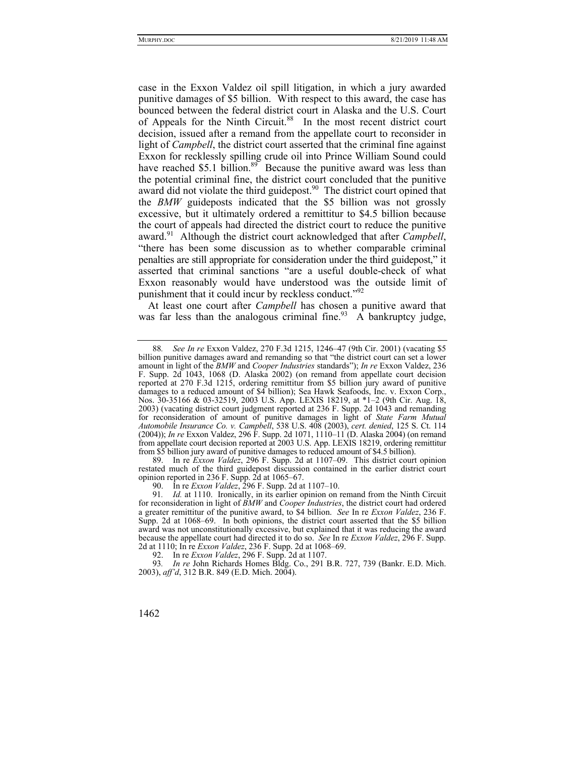case in the Exxon Valdez oil spill litigation, in which a jury awarded punitive damages of \$5 billion. With respect to this award, the case has bounced between the federal district court in Alaska and the U.S. Court of Appeals for the Ninth Circuit.<sup>88</sup> In the most recent district court decision, issued after a remand from the appellate court to reconsider in light of *Campbell*, the district court asserted that the criminal fine against Exxon for recklessly spilling crude oil into Prince William Sound could have reached \$5.1 billion.<sup>89</sup> Because the punitive award was less than the potential criminal fine, the district court concluded that the punitive award did not violate the third guidepost.<sup>90</sup> The district court opined that the *BMW* guideposts indicated that the \$5 billion was not grossly excessive, but it ultimately ordered a remittitur to \$4.5 billion because the court of appeals had directed the district court to reduce the punitive award.<sup>91</sup> Although the district court acknowledged that after *Campbell*, "there has been some discussion as to whether comparable criminal penalties are still appropriate for consideration under the third guidepost," it asserted that criminal sanctions "are a useful double-check of what Exxon reasonably would have understood was the outside limit of punishment that it could incur by reckless conduct."<sup>92</sup>

At least one court after *Campbell* has chosen a punitive award that was far less than the analogous criminal fine.<sup>93</sup> A bankruptcy judge,

 89. In re *Exxon Valdez*, 296 F. Supp. 2d at 1107–09. This district court opinion restated much of the third guidepost discussion contained in the earlier district court opinion reported in 236 F. Supp. 2d at 1065–67.

90. In re *Exxon Valdez*, 296 F. Supp. 2d at 1107–10.

91*. Id.* at 1110. Ironically, in its earlier opinion on remand from the Ninth Circuit for reconsideration in light of *BMW* and *Cooper Industries*, the district court had ordered a greater remittitur of the punitive award, to \$4 billion. *See* In re *Exxon Valdez*, 236 F. Supp. 2d at 1068–69. In both opinions, the district court asserted that the \$5 billion award was not unconstitutionally excessive, but explained that it was reducing the award because the appellate court had directed it to do so. *See* In re *Exxon Valdez*, 296 F. Supp. 2d at 1110; In re *Exxon Valdez*, 236 F. Supp. 2d at 1068–69.

92. In re *Exxon Valdez*, 296 F. Supp. 2d at 1107.

93*. In re* John Richards Homes Bldg. Co., 291 B.R. 727, 739 (Bankr. E.D. Mich. 2003), *aff'd*, 312 B.R. 849 (E.D. Mich. 2004).

<sup>88</sup>*. See In re* Exxon Valdez, 270 F.3d 1215, 1246–47 (9th Cir. 2001) (vacating \$5 billion punitive damages award and remanding so that "the district court can set a lower amount in light of the *BMW* and *Cooper Industries* standards"); *In re* Exxon Valdez, 236 F. Supp. 2d 1043, 1068 (D. Alaska 2002) (on remand from appellate court decision reported at 270 F.3d 1215, ordering remittitur from \$5 billion jury award of punitive damages to a reduced amount of \$4 billion); Sea Hawk Seafoods, Inc. v. Exxon Corp., Nos. 30-35166 & 03-32519, 2003 U.S. App. LEXIS 18219, at \*1–2 (9th Cir. Aug. 18, 2003) (vacating district court judgment reported at 236 F. Supp. 2d 1043 and remanding for reconsideration of amount of punitive damages in light of *State Farm Mutual Automobile Insurance Co. v. Campbell*, 538 U.S. 408 (2003), *cert. denied*, 125 S. Ct. 114 (2004)); *In re* Exxon Valdez, 296 F. Supp. 2d 1071, 1110–11 (D. Alaska 2004) (on remand from appellate court decision reported at 2003 U.S. App. LEXIS 18219, ordering remittitur from \$5 billion jury award of punitive damages to reduced amount of \$4.5 billion).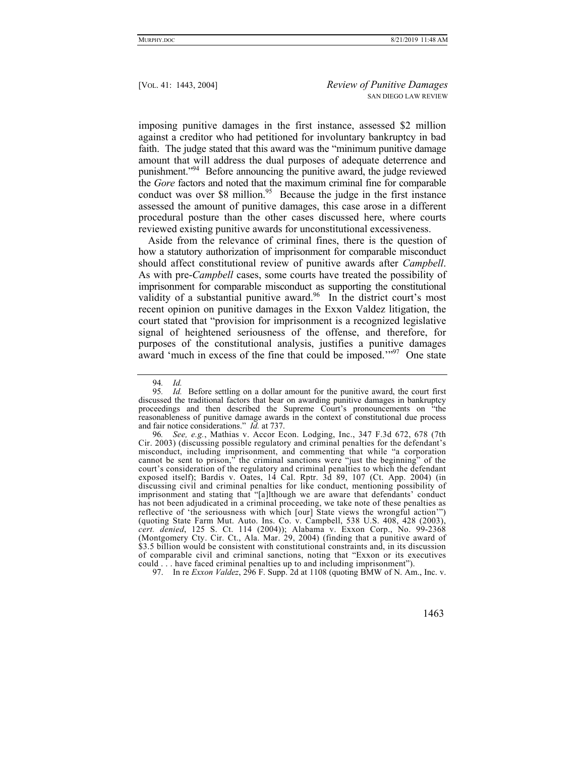imposing punitive damages in the first instance, assessed \$2 million against a creditor who had petitioned for involuntary bankruptcy in bad faith. The judge stated that this award was the "minimum punitive damage amount that will address the dual purposes of adequate deterrence and punishment."94 Before announcing the punitive award, the judge reviewed the *Gore* factors and noted that the maximum criminal fine for comparable conduct was over  $$8$  million.<sup>95</sup> Because the judge in the first instance assessed the amount of punitive damages, this case arose in a different procedural posture than the other cases discussed here, where courts reviewed existing punitive awards for unconstitutional excessiveness.

Aside from the relevance of criminal fines, there is the question of how a statutory authorization of imprisonment for comparable misconduct should affect constitutional review of punitive awards after *Campbell*. As with pre-*Campbell* cases, some courts have treated the possibility of imprisonment for comparable misconduct as supporting the constitutional validity of a substantial punitive award.<sup>96</sup> In the district court's most recent opinion on punitive damages in the Exxon Valdez litigation, the court stated that "provision for imprisonment is a recognized legislative signal of heightened seriousness of the offense, and therefore, for purposes of the constitutional analysis, justifies a punitive damages award 'much in excess of the fine that could be imposed.'"<sup>97</sup> One state

97. In re *Exxon Valdez*, 296 F. Supp. 2d at 1108 (quoting BMW of N. Am., Inc. v.

<sup>94</sup>*. Id.*

<sup>95</sup>*. Id.* Before settling on a dollar amount for the punitive award, the court first discussed the traditional factors that bear on awarding punitive damages in bankruptcy proceedings and then described the Supreme Court's pronouncements on "the reasonableness of punitive damage awards in the context of constitutional due process and fair notice considerations." *Id.* at 737.

<sup>96</sup>*. See, e.g.*, Mathias v. Accor Econ. Lodging, Inc., 347 F.3d 672, 678 (7th Cir. 2003) (discussing possible regulatory and criminal penalties for the defendant's misconduct, including imprisonment, and commenting that while "a corporation cannot be sent to prison," the criminal sanctions were "just the beginning" of the court's consideration of the regulatory and criminal penalties to which the defendant exposed itself); Bardis v. Oates, 14 Cal. Rptr. 3d 89, 107 (Ct. App. 2004) (in discussing civil and criminal penalties for like conduct, mentioning possibility of imprisonment and stating that "[a]lthough we are aware that defendants' conduct has not been adjudicated in a criminal proceeding, we take note of these penalties as reflective of 'the seriousness with which [our] State views the wrongful action'") (quoting State Farm Mut. Auto. Ins. Co. v. Campbell, 538 U.S. 408, 428 (2003), *cert. denied*, 125 S. Ct. 114 (2004)); Alabama v. Exxon Corp., No. 99-2368 (Montgomery Cty. Cir. Ct., Ala. Mar. 29, 2004) (finding that a punitive award of \$3.5 billion would be consistent with constitutional constraints and, in its discussion of comparable civil and criminal sanctions, noting that "Exxon or its executives could . . . have faced criminal penalties up to and including imprisonment").